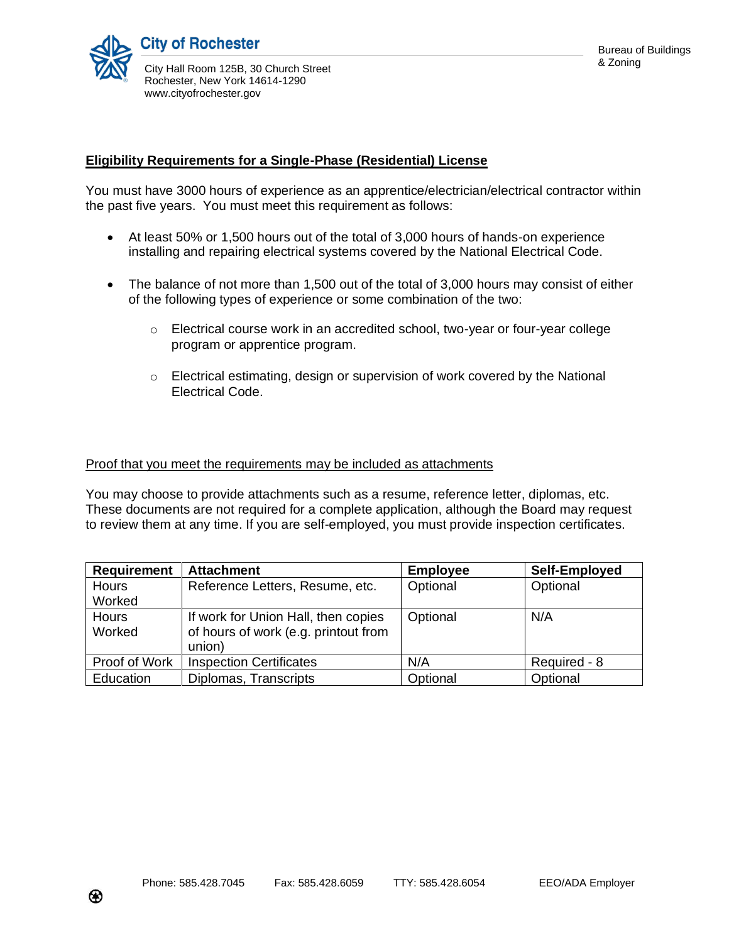## **Eligibility Requirements for a Single-Phase (Residential) License**

You must have 3000 hours of experience as an apprentice/electrician/electrical contractor within the past five years. You must meet this requirement as follows:

- At least 50% or 1,500 hours out of the total of 3,000 hours of hands-on experience installing and repairing electrical systems covered by the National Electrical Code.
- The balance of not more than 1,500 out of the total of 3,000 hours may consist of either of the following types of experience or some combination of the two:
	- $\circ$  Electrical course work in an accredited school, two-year or four-year college program or apprentice program.
	- $\circ$  Electrical estimating, design or supervision of work covered by the National Electrical Code.

## Proof that you meet the requirements may be included as attachments

You may choose to provide attachments such as a resume, reference letter, diplomas, etc. These documents are not required for a complete application, although the Board may request to review them at any time. If you are self-employed, you must provide inspection certificates.

| <b>Requirement</b> | <b>Attachment</b>                    | <b>Employee</b> | Self-Employed |
|--------------------|--------------------------------------|-----------------|---------------|
| Hours              | Reference Letters, Resume, etc.      | Optional        | Optional      |
| Worked             |                                      |                 |               |
| Hours              | If work for Union Hall, then copies  | Optional        | N/A           |
| Worked             | of hours of work (e.g. printout from |                 |               |
|                    | union)                               |                 |               |
| Proof of Work      | <b>Inspection Certificates</b>       | N/A             | Required - 8  |
| Education          | Diplomas, Transcripts                | Optional        | Optional      |